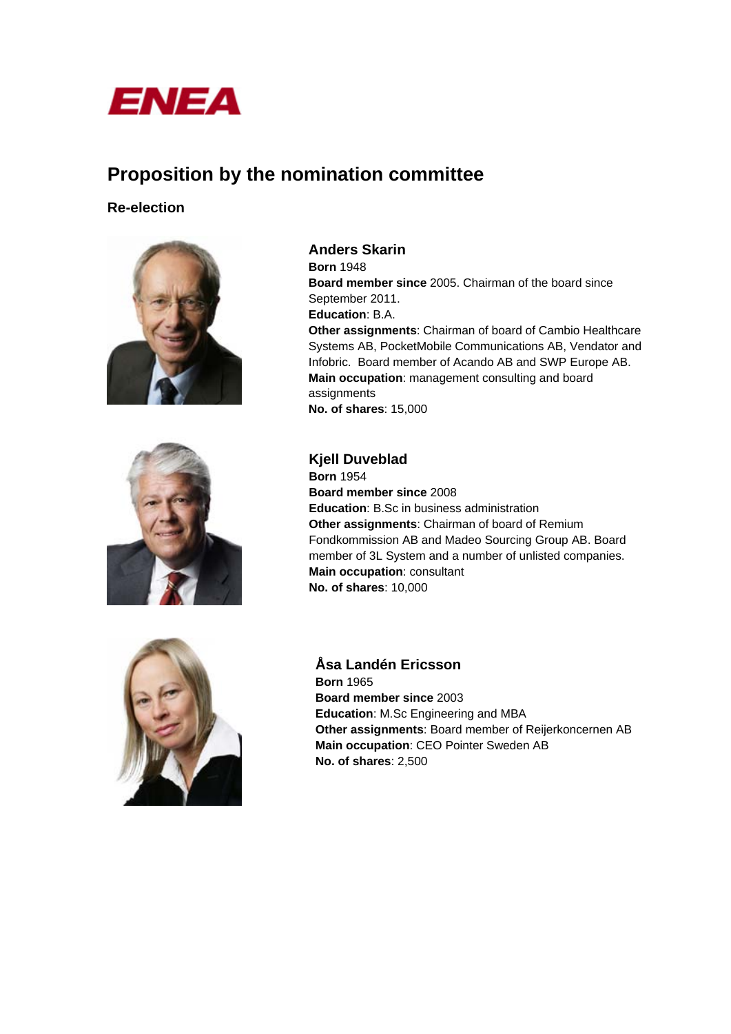

# **Proposition by the nomination committee**

## **Re-election**





**Anders Skarin Born** 1948 **Board member since** 2005. Chairman of the board since September 2011. **Education**: B.A. **Other assignments**: Chairman of board of Cambio Healthcare Systems AB, PocketMobile Communications AB, Vendator and Infobric. Board member of Acando AB and SWP Europe AB. **Main occupation**: management consulting and board assignments **No. of shares**: 15,000

## **Kjell Duveblad**

**Born** 1954 **Board member since** 2008 **Education**: B.Sc in business administration **Other assignments**: Chairman of board of Remium Fondkommission AB and Madeo Sourcing Group AB. Board member of 3L System and a number of unlisted companies. **Main occupation**: consultant **No. of shares**: 10,000



**Åsa Landén Ericsson Born** 1965 **Board member since** 2003 **Education**: M.Sc Engineering and MBA **Other assignments**: Board member of Reijerkoncernen AB **Main occupation**: CEO Pointer Sweden AB **No. of shares**: 2,500